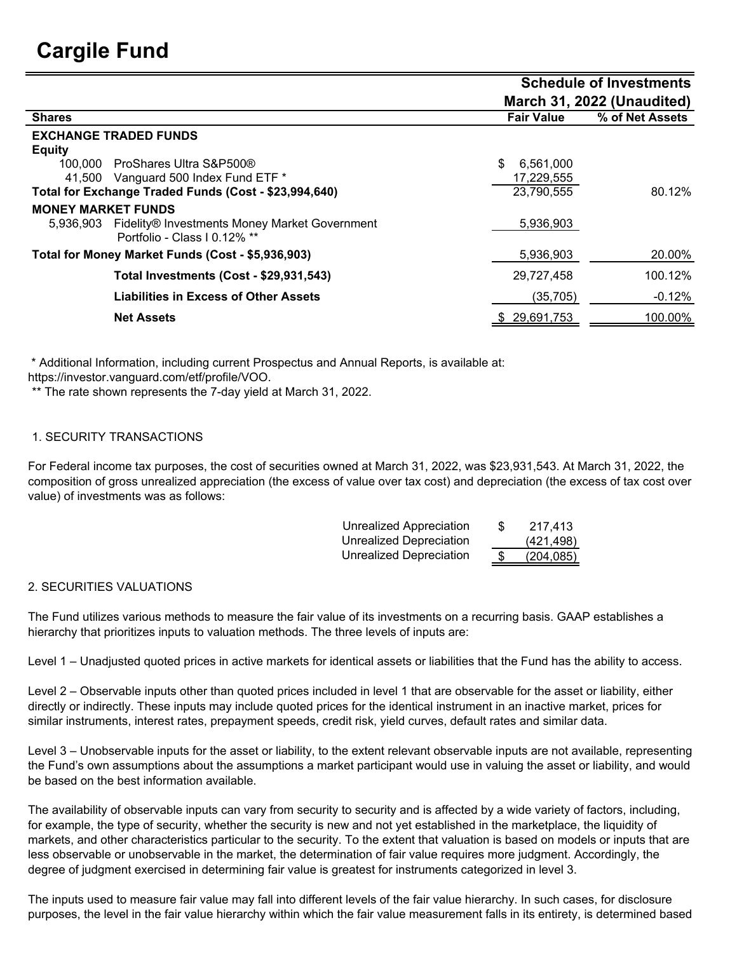## **Cargile Fund**

|                                                                                            |                            | <b>Schedule of Investments</b> |  |  |  |
|--------------------------------------------------------------------------------------------|----------------------------|--------------------------------|--|--|--|
|                                                                                            | March 31, 2022 (Unaudited) |                                |  |  |  |
| <b>Shares</b>                                                                              | <b>Fair Value</b>          | % of Net Assets                |  |  |  |
| <b>EXCHANGE TRADED FUNDS</b>                                                               |                            |                                |  |  |  |
| <b>Equity</b>                                                                              |                            |                                |  |  |  |
| ProShares Ultra S&P500®<br>100.000                                                         | 6,561,000                  |                                |  |  |  |
| 41,500 Vanguard 500 Index Fund ETF *                                                       | 17,229,555                 |                                |  |  |  |
| Total for Exchange Traded Funds (Cost - \$23,994,640)                                      | 23,790,555                 | 80.12%                         |  |  |  |
| <b>MONEY MARKET FUNDS</b>                                                                  |                            |                                |  |  |  |
| Fidelity® Investments Money Market Government<br>5.936.903<br>Portfolio - Class I 0.12% ** | 5,936,903                  |                                |  |  |  |
| Total for Money Market Funds (Cost - \$5,936,903)                                          | 5,936,903                  | 20.00%                         |  |  |  |
| Total Investments (Cost - \$29,931,543)                                                    | 29,727,458                 | 100.12%                        |  |  |  |
| Liabilities in Excess of Other Assets                                                      | (35,705)                   | $-0.12%$                       |  |  |  |
| <b>Net Assets</b>                                                                          | 29,691,753                 | 100.00%                        |  |  |  |
|                                                                                            |                            |                                |  |  |  |

\* Additional Information, including current Prospectus and Annual Reports, is available at:

https://investor.vanguard.com/etf/profile/VOO.

\*\* The rate shown represents the 7-day yield at March 31, 2022.

## 1. SECURITY TRANSACTIONS

For Federal income tax purposes, the cost of securities owned at March 31, 2022, was \$23,931,543. At March 31, 2022, the composition of gross unrealized appreciation (the excess of value over tax cost) and depreciation (the excess of tax cost over value) of investments was as follows:

| <b>Unrealized Appreciation</b> | S | 217.413    |
|--------------------------------|---|------------|
| Unrealized Depreciation        |   | (421, 498) |
| Unrealized Depreciation        |   | (204, 085) |
|                                |   |            |

## 2. SECURITIES VALUATIONS

The Fund utilizes various methods to measure the fair value of its investments on a recurring basis. GAAP establishes a hierarchy that prioritizes inputs to valuation methods. The three levels of inputs are:

Level 1 – Unadjusted quoted prices in active markets for identical assets or liabilities that the Fund has the ability to access.

Level 2 – Observable inputs other than quoted prices included in level 1 that are observable for the asset or liability, either directly or indirectly. These inputs may include quoted prices for the identical instrument in an inactive market, prices for similar instruments, interest rates, prepayment speeds, credit risk, yield curves, default rates and similar data.

Level 3 – Unobservable inputs for the asset or liability, to the extent relevant observable inputs are not available, representing the Fund's own assumptions about the assumptions a market participant would use in valuing the asset or liability, and would be based on the best information available.

The availability of observable inputs can vary from security to security and is affected by a wide variety of factors, including, for example, the type of security, whether the security is new and not yet established in the marketplace, the liquidity of markets, and other characteristics particular to the security. To the extent that valuation is based on models or inputs that are less observable or unobservable in the market, the determination of fair value requires more judgment. Accordingly, the degree of judgment exercised in determining fair value is greatest for instruments categorized in level 3.

The inputs used to measure fair value may fall into different levels of the fair value hierarchy. In such cases, for disclosure purposes, the level in the fair value hierarchy within which the fair value measurement falls in its entirety, is determined based